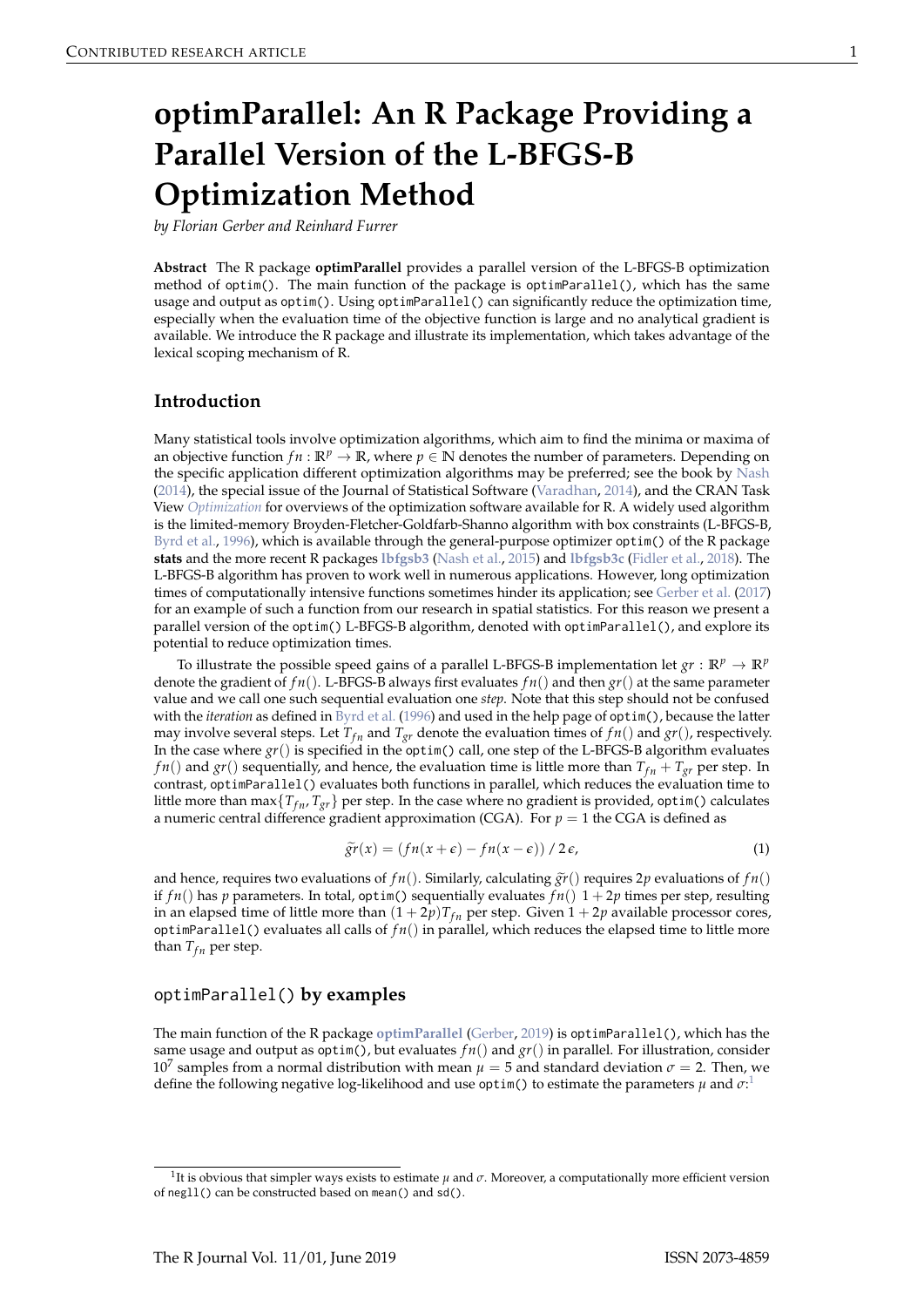# <span id="page-0-0"></span>**optimParallel: An R Package Providing a Parallel Version of the L-BFGS-B Optimization Method**

*by Florian Gerber and Reinhard Furrer*

**Abstract** The R package **optimParallel** provides a parallel version of the L-BFGS-B optimization method of optim(). The main function of the package is optimParallel(), which has the same usage and output as optim(). Using optimParallel() can significantly reduce the optimization time, especially when the evaluation time of the objective function is large and no analytical gradient is available. We introduce the R package and illustrate its implementation, which takes advantage of the lexical scoping mechanism of R.

#### **Introduction**

Many statistical tools involve optimization algorithms, which aim to find the minima or maxima of an objective function  $fn : \mathbb{R}^p \to \mathbb{R}$ , where  $p \in \mathbb{N}$  denotes the number of parameters. Depending on the specific application different optimization algorithms may be preferred; see the book by [Nash](#page-5-0) [\(2014\)](#page-5-0), the special issue of the Journal of Statistical Software [\(Varadhan,](#page-5-1) [2014\)](#page-5-1), and the CRAN Task View *[Optimization](https://CRAN.R-project.org/view=Optimization)* for overviews of the optimization software available for R. A widely used algorithm is the limited-memory Broyden-Fletcher-Goldfarb-Shanno algorithm with box constraints (L-BFGS-B, [Byrd et al.,](#page-5-2) [1996\)](#page-5-2), which is available through the general-purpose optimizer optim() of the R package **stats** and the more recent R packages **[lbfgsb3](https://CRAN.R-project.org/package=lbfgsb3)** [\(Nash et al.,](#page-5-3) [2015\)](#page-5-3) and **[lbfgsb3c](https://CRAN.R-project.org/package=lbfgsb3c)** [\(Fidler et al.,](#page-5-4) [2018\)](#page-5-4). The L-BFGS-B algorithm has proven to work well in numerous applications. However, long optimization times of computationally intensive functions sometimes hinder its application; see [Gerber et al.](#page-5-5) [\(2017\)](#page-5-5) for an example of such a function from our research in spatial statistics. For this reason we present a parallel version of the optim() L-BFGS-B algorithm, denoted with optimParallel(), and explore its potential to reduce optimization times.

To illustrate the possible speed gains of a parallel L-BFGS-B implementation let  $gr : \mathbb{R}^p \to \mathbb{R}^p$ denote the gradient of *f n*(). L-BFGS-B always first evaluates *f n*() and then *gr*() at the same parameter value and we call one such sequential evaluation one *step*. Note that this step should not be confused with the *iteration* as defined in [Byrd et al.](#page-5-2) [\(1996\)](#page-5-2) and used in the help page of optim(), because the latter may involve several steps. Let  $T_{fn}$  and  $T_{gr}$  denote the evaluation times of  $fn()$  and  $gr()$ , respectively. In the case where *gr*() is specified in the optim() call, one step of the L-BFGS-B algorithm evaluates *f n*() and *gr*() sequentially, and hence, the evaluation time is little more than  $T_{fn} + T_{gr}$  per step. In contrast, optimParallel() evaluates both functions in parallel, which reduces the evaluation time to little more than max $\{T_{fn}, T_{gr}\}$  per step. In the case where no gradient is provided, optim() calculates a numeric central difference gradient approximation (CGA). For  $p = 1$  the CGA is defined as

$$
\widetilde{gr}(x) = (fn(x + \epsilon) - fn(x - \epsilon)) / 2\epsilon,
$$
\n(1)

and hence, requires two evaluations of  $fn()$ . Similarly, calculating  $\tilde{gr}()$  requires 2*p* evaluations of  $fn()$ if  $fn()$  has *p* parameters. In total, optim() sequentially evaluates  $fn()$  1 + 2*p* times per step, resulting in an elapsed time of little more than  $(1 + 2p)T_{fn}$  per step. Given  $1 + 2p$  available processor cores, optimParallel() evaluates all calls of  $fn()$  in parallel, which reduces the elapsed time to little more than  $T_{fn}$  per step.

#### optimParallel() **by examples**

The main function of the R package **[optimParallel](https://CRAN.R-project.org/package=optimParallel)** [\(Gerber,](#page-5-6) [2019\)](#page-5-6) is optimParallel(), which has the same usage and output as optim(), but evaluates  $fn()$  and  $gr()$  in parallel. For illustration, consider 10<sup>7</sup> samples from a normal distribution with mean *µ* = 5 and standard deviation *σ* = 2. Then, we define the following negative log-likelihood and use optim() to estimate the parameters  $\mu$  and  $\sigma$ <sup>1</sup>

<sup>1</sup> It is obvious that simpler ways exists to estimate *µ* and *σ*. Moreover, a computationally more efficient version of negll() can be constructed based on mean() and sd().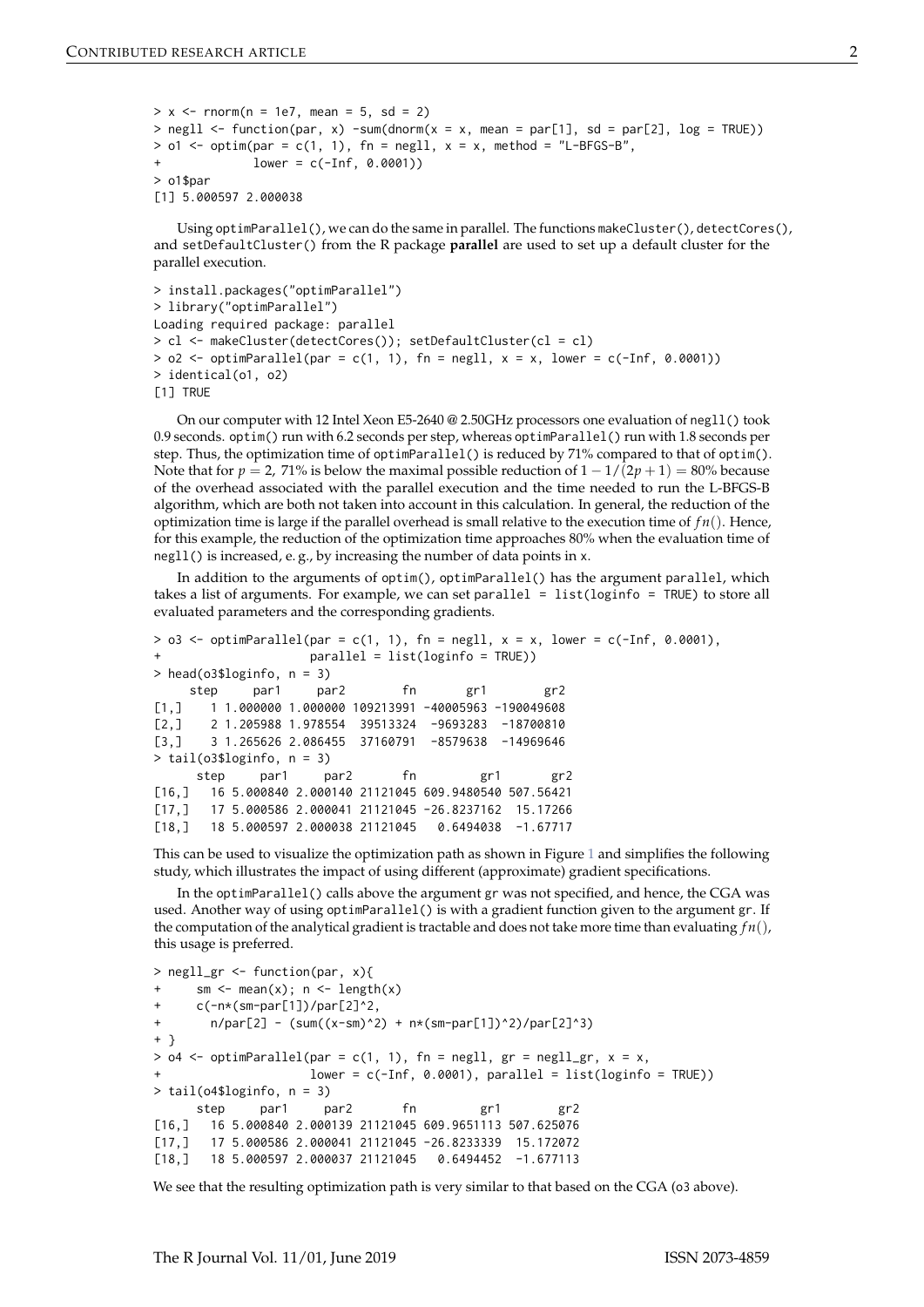```
> x < - rnorm(n = 1e7, mean = 5, sd = 2)
> negll \le function(par, x) -sum(dnorm(x = x, mean = par[1], sd = par[2], log = TRUE))
> o1 \le - optim(par = c(1, 1), fn = negll, x = x, method = "L-BFGS-B",
              lower = c(-Inf, 0.0001))> o1$par
[1] 5.000597 2.000038
```
Using optimParallel(), we can do the same in parallel. The functions makeCluster(), detectCores(), and setDefaultCluster() from the R package **parallel** are used to set up a default cluster for the parallel execution.

```
> install.packages("optimParallel")
> library("optimParallel")
Loading required package: parallel
> cl <- makeCluster(detectCores()); setDefaultCluster(cl = cl)
> o2 <- optimParallel(par = c(1, 1), fn = negll, x = x, lower = c(-Inf, 0.0001))
> identical(o1, o2)
[1] TRUE
```
On our computer with 12 Intel Xeon E5-2640 @ 2.50GHz processors one evaluation of negll() took 0.9 seconds. optim() run with 6.2 seconds per step, whereas optimParallel() run with 1.8 seconds per step. Thus, the optimization time of optimParallel() is reduced by  $71\%$  compared to that of optim(). Note that for  $p = 2$ , 71% is below the maximal possible reduction of  $1 - 1/(2p + 1) = 80%$  because of the overhead associated with the parallel execution and the time needed to run the L-BFGS-B algorithm, which are both not taken into account in this calculation. In general, the reduction of the optimization time is large if the parallel overhead is small relative to the execution time of  $fn()$ . Hence, for this example, the reduction of the optimization time approaches 80% when the evaluation time of negll() is increased, e. g., by increasing the number of data points in x.

In addition to the arguments of optim(), optimParallel() has the argument parallel, which takes a list of arguments. For example, we can set parallel = list(loginfo = TRUE) to store all evaluated parameters and the corresponding gradients.

```
> o3 \le optimParallel(par = c(1, 1), fn = negll, x = x, lower = c(-Inf, 0.0001),
+ parallel = list(loginfo = TRUE))
> head(o3$loginfo, n = 3)
    step par1 par2 fn gr1 gr2
[1,] 1 1.000000 1.000000 109213991 -40005963 -190049608
[2,] 2 1.205988 1.978554 39513324 -9693283 -18700810
[3,] 3 1.265626 2.086455 37160791 -8579638 -14969646
> tail(o3$loginfo, n = 3)
     step par1 par2 fn gr1 gr2
[16,] 16 5.000840 2.000140 21121045 609.9480540 507.56421
[17,] 17 5.000586 2.000041 21121045 -26.8237162 15.17266
[18,] 18 5.000597 2.000038 21121045 0.6494038 -1.67717
```
This can be used to visualize the optimization path as shown in Figure [1](#page-2-0) and simplifies the following study, which illustrates the impact of using different (approximate) gradient specifications.

In the optimParallel() calls above the argument gr was not specified, and hence, the CGA was used. Another way of using optimParallel() is with a gradient function given to the argument gr. If the computation of the analytical gradient is tractable and does not take more time than evaluating *f n*(), this usage is preferred.

```
> negll_gr <- function(par, x){
     sm \leftarrow \text{mean}(x); n \leftarrow \text{length}(x)+ c(-n*(sm-par[1])/par[2]^2,
+ n/par[2] - (sum((x-sm)^2) + n*(sm-par[1])^2)/par[2]^3)+ }
> o4 <- optimParallel(par = c(1, 1), fn = negll, gr = negll_gr, x = x,
+ lower = c(-Inf, 0.0001), parallel = list(loginfo = TRUE))
> tail(o4$loginfo, n = 3)
     step par1 par2 fn gr1 gr2
[16,] 16 5.000840 2.000139 21121045 609.9651113 507.625076
[17,] 17 5.000586 2.000041 21121045 -26.8233339 15.172072
[18,] 18 5.000597 2.000037 21121045 0.6494452 -1.677113
```
We see that the resulting optimization path is very similar to that based on the CGA (o3 above).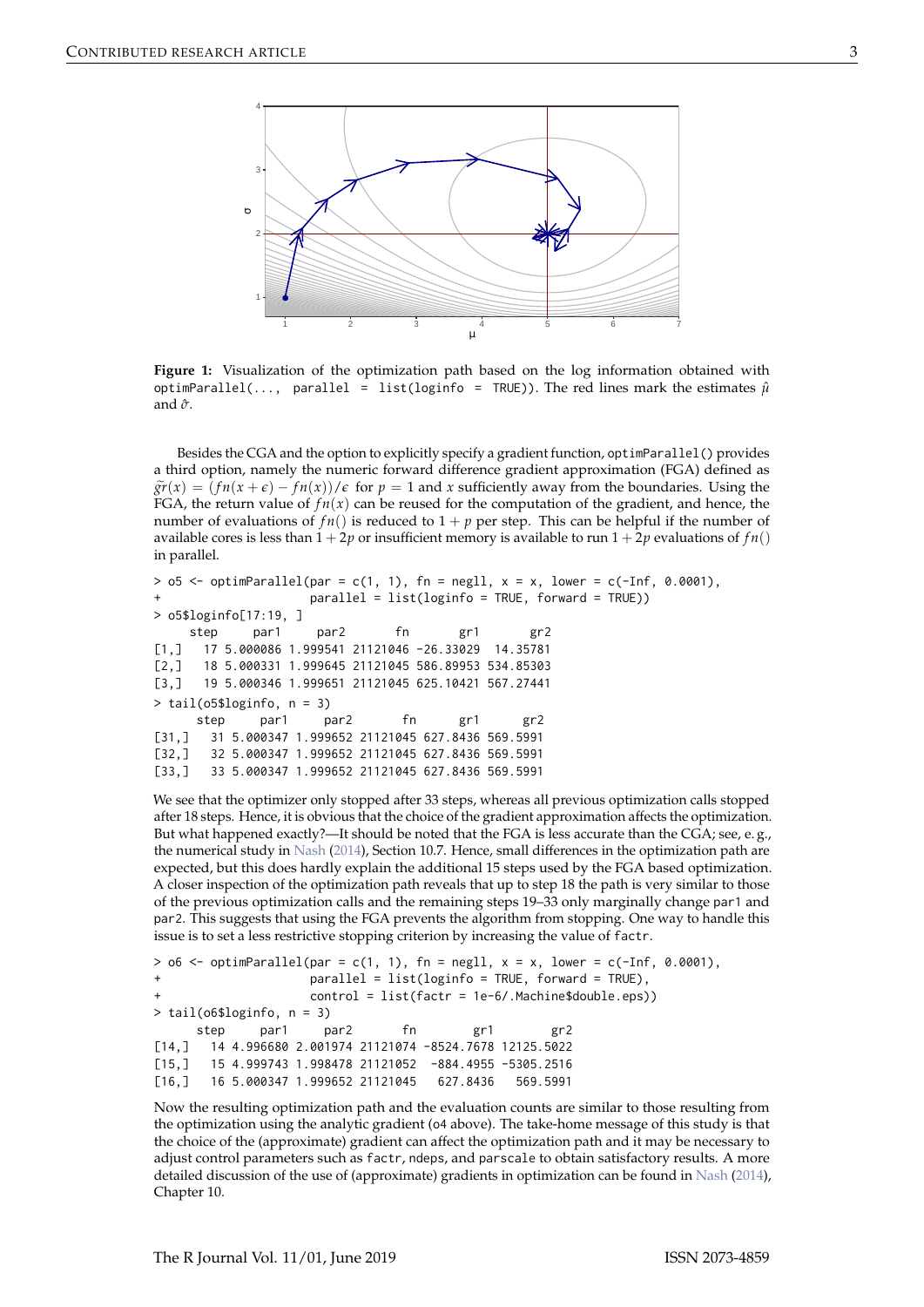<span id="page-2-1"></span><span id="page-2-0"></span>

**Figure 1:** Visualization of the optimization path based on the log information obtained with optimParallel(..., parallel = list(loginfo = TRUE)). The red lines mark the estimates  $\hat{\mu}$ and  $\hat{\sigma}$ .

Besides the CGA and the option to explicitly specify a gradient function, optimParallel() provides a third option, namely the numeric forward difference gradient approximation (FGA) defined as  $\tilde{gr}(x) = (fn(x+\epsilon) - fn(x))/\epsilon$  for  $p = 1$  and *x* sufficiently away from the boundaries. Using the FGA, the return value of  $fn(x)$  can be reused for the computation of the gradient, and hence, the number of evaluations of  $fn()$  is reduced to  $1 + p$  per step. This can be helpful if the number of available cores is less than  $1 + 2p$  or insufficient memory is available to run  $1 + 2p$  evaluations of  $fn()$ in parallel.

```
> o5 <- optimParallel(par = c(1, 1), fn = negll, x = x, lower = c(-Inf, 0.0001),
+ parallel = list(loginfo = TRUE, forward = TRUE))
> o5$loginfo[17:19, ]
    step par1 par2 fn gr1 gr2
[1,] 17 5.000086 1.999541 21121046 -26.33029 14.35781
[2,] 18 5.000331 1.999645 21121045 586.89953 534.85303
[3,] 19 5.000346 1.999651 21121045 625.10421 567.27441
> tail(o5$loginfo, n = 3)
     step par1 par2 fn gr1 gr2
[31,] 31 5.000347 1.999652 21121045 627.8436 569.5991
[32,] 32 5.000347 1.999652 21121045 627.8436 569.5991
[33,] 33 5.000347 1.999652 21121045 627.8436 569.5991
```
We see that the optimizer only stopped after 33 steps, whereas all previous optimization calls stopped after 18 steps. Hence, it is obvious that the choice of the gradient approximation affects the optimization. But what happened exactly?—It should be noted that the FGA is less accurate than the CGA; see, e. g., the numerical study in [Nash](#page-5-0) [\(2014\)](#page-5-0), Section 10.7. Hence, small differences in the optimization path are expected, but this does hardly explain the additional 15 steps used by the FGA based optimization. A closer inspection of the optimization path reveals that up to step 18 the path is very similar to those of the previous optimization calls and the remaining steps 19–33 only marginally change par1 and par2. This suggests that using the FGA prevents the algorithm from stopping. One way to handle this issue is to set a less restrictive stopping criterion by increasing the value of factr.

```
> 06 \leq optimParallel(par = c(1, 1), fn = negll, x = x, lower = c(-Inf, 0.0001),
+ parallel = list(loginfo = TRUE, forward = TRUE),
                   control = list(factor = 1e-6/.Machine$double.eps))> tail(o6$loginfo, n = 3)
     step par1 par2 fn gr1 gr2
[14,] 14 4.996680 2.001974 21121074 -8524.7678 12125.5022
[15,] 15 4.999743 1.998478 21121052 -884.4955 -5305.2516
[16,] 16 5.000347 1.999652 21121045 627.8436 569.5991
```
Now the resulting optimization path and the evaluation counts are similar to those resulting from the optimization using the analytic gradient (o4 above). The take-home message of this study is that the choice of the (approximate) gradient can affect the optimization path and it may be necessary to adjust control parameters such as factr, ndeps, and parscale to obtain satisfactory results. A more detailed discussion of the use of (approximate) gradients in optimization can be found in [Nash](#page-5-0) [\(2014\)](#page-5-0), Chapter 10.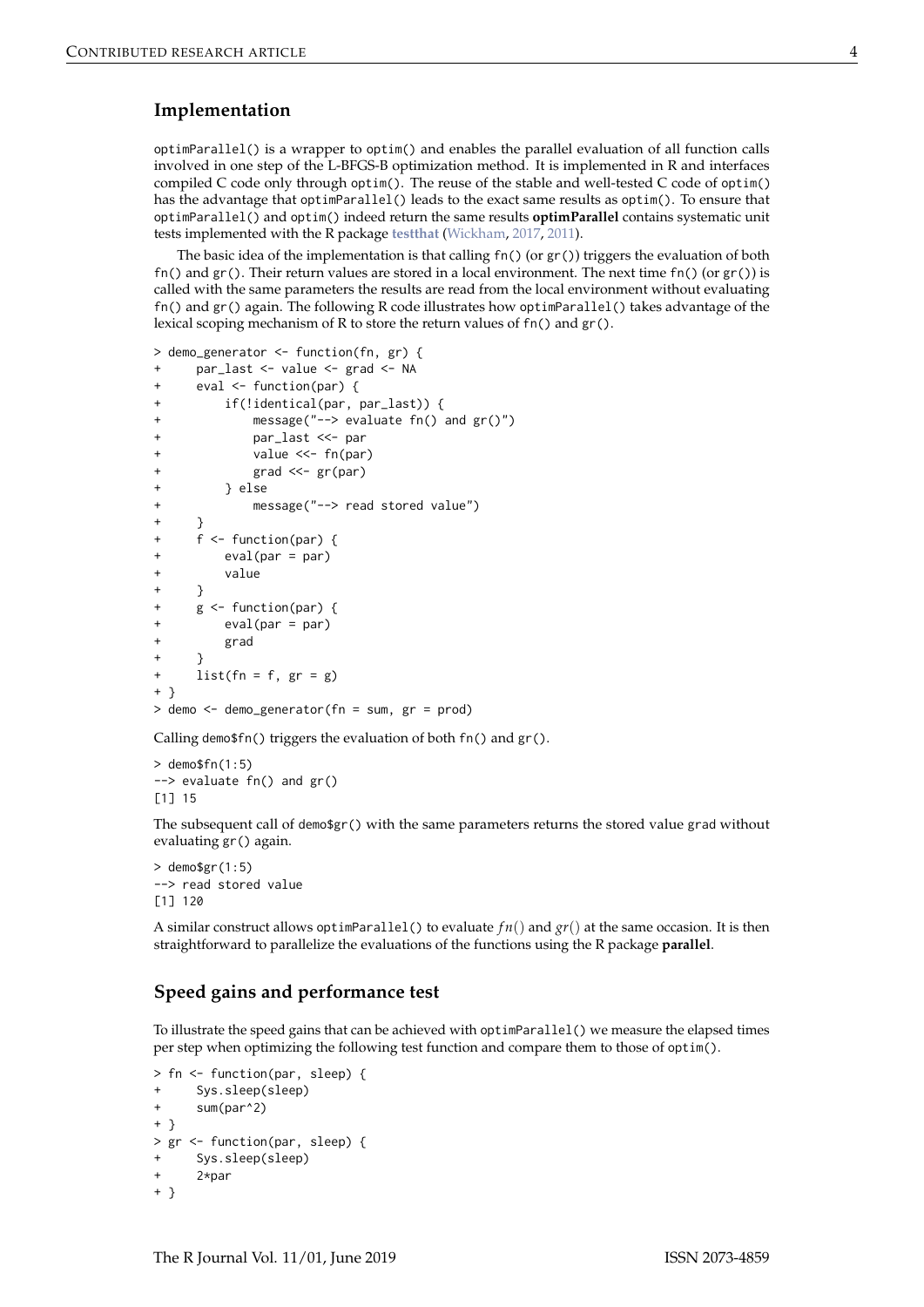#### <span id="page-3-0"></span>**Implementation**

optimParallel() is a wrapper to optim() and enables the parallel evaluation of all function calls involved in one step of the L-BFGS-B optimization method. It is implemented in R and interfaces compiled C code only through optim(). The reuse of the stable and well-tested C code of optim() has the advantage that optimParallel() leads to the exact same results as optim(). To ensure that optimParallel() and optim() indeed return the same results **optimParallel** contains systematic unit tests implemented with the R package **[testthat](https://CRAN.R-project.org/package=testthat)** [\(Wickham,](#page-5-7) [2017,](#page-5-7) [2011\)](#page-5-8).

The basic idea of the implementation is that calling  $fn() (or gr())$  triggers the evaluation of both fn() and  $gr()$ . Their return values are stored in a local environment. The next time fn() (or  $gr()$ ) is called with the same parameters the results are read from the local environment without evaluating fn() and gr() again. The following R code illustrates how optimParallel() takes advantage of the lexical scoping mechanism of R to store the return values of fn() and gr().

```
> demo_generator <- function(fn, gr) {
     par_last <- value <- grad <- NA
+ eval <- function(par) {
+ if(!identical(par, par_last)) {
+ message("--> evaluate fn() and gr()")
            par_last <<- par
            value <<- fn(par)
            grad \ll - gr(par)+ } else
+ message("--> read stored value")
+ }
+ f <- function(par) {
+ eval(par = par)
+ value
+ }
+ g <- function(par) {
        eval(par = par)+ grad
     \rightarrow+ list(fn = f, gr = g)+ }
> demo <- demo_generator(fn = sum, gr = prod)
```
Calling demo\$fn() triggers the evaluation of both fn() and gr().

 $>$  demosfn $(1.5)$ --> evaluate fn() and gr() [1] 15

The subsequent call of demo\$gr() with the same parameters returns the stored value grad without evaluating gr() again.

 $>$  demo\$gr(1:5) --> read stored value [1] 120

A similar construct allows optimParallel() to evaluate  $fn()$  and  $gr()$  at the same occasion. It is then straightforward to parallelize the evaluations of the functions using the R package **parallel**.

## **Speed gains and performance test**

To illustrate the speed gains that can be achieved with optimParallel() we measure the elapsed times per step when optimizing the following test function and compare them to those of optim().

```
> fn <- function(par, sleep) {
+ Sys.sleep(sleep)
+ sum(par^2)
+ }
> gr <- function(par, sleep) {
     Sys.sleep(sleep)
     2*par
+ }
```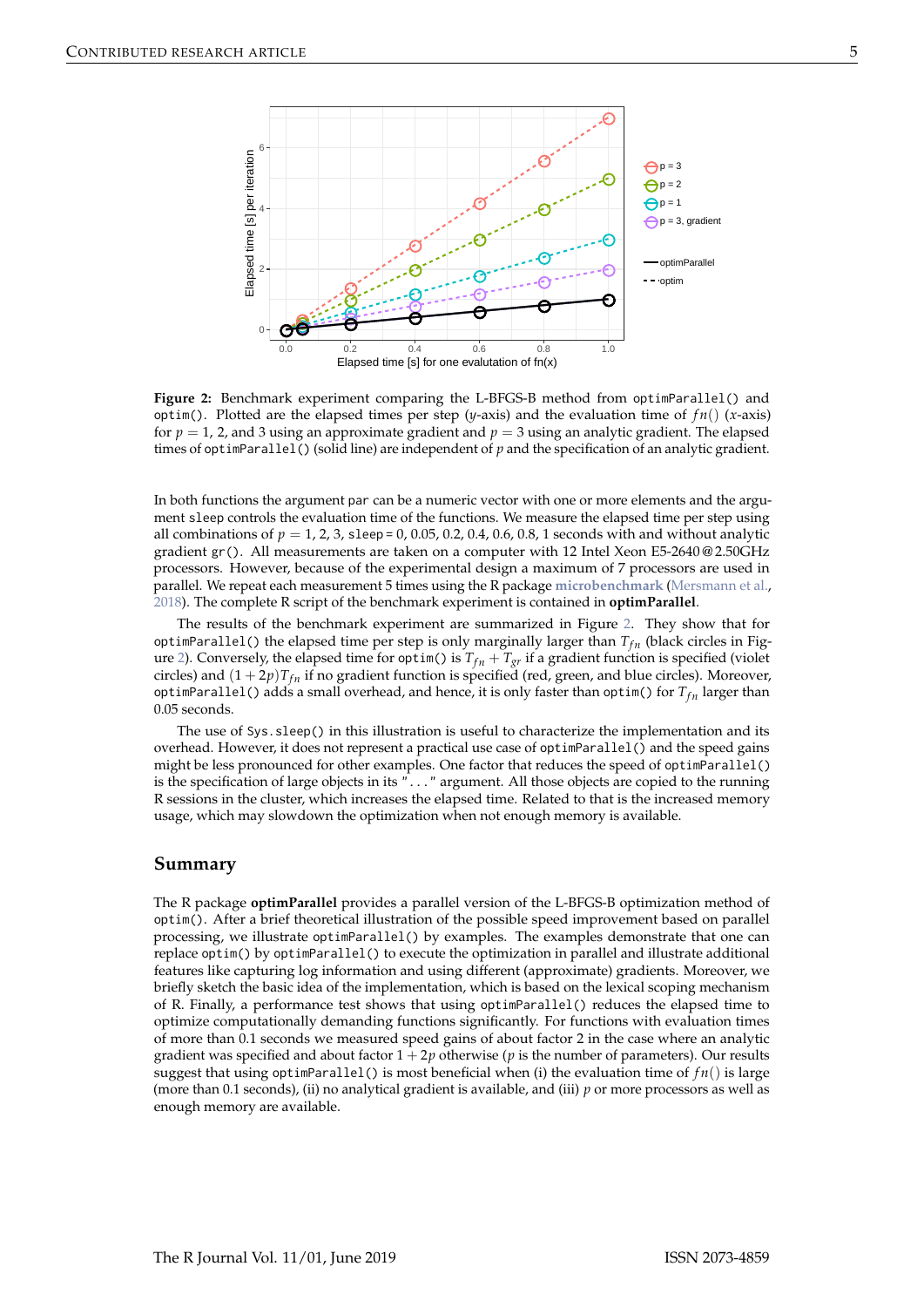<span id="page-4-1"></span><span id="page-4-0"></span>

**Figure 2:** Benchmark experiment comparing the L-BFGS-B method from optimParallel() and optim(). Plotted are the elapsed times per step (*y*-axis) and the evaluation time of  $fn()$  (*x*-axis) for  $p = 1$ , 2, and 3 using an approximate gradient and  $p = 3$  using an analytic gradient. The elapsed times of optimParallel() (solid line) are independent of *p* and the specification of an analytic gradient.

In both functions the argument par can be a numeric vector with one or more elements and the argument sleep controls the evaluation time of the functions. We measure the elapsed time per step using all combinations of  $p = 1, 2, 3$ , sleep = 0, 0.05, 0.2, 0.4, 0.6, 0.8, 1 seconds with and without analytic gradient gr(). All measurements are taken on a computer with 12 Intel Xeon E5-2640 @ 2.50GHz processors. However, because of the experimental design a maximum of 7 processors are used in parallel. We repeat each measurement 5 times using the R package **[microbenchmark](https://CRAN.R-project.org/package=microbenchmark)** [\(Mersmann et al.,](#page-5-9) [2018\)](#page-5-9). The complete R script of the benchmark experiment is contained in **optimParallel**.

The results of the benchmark experiment are summarized in Figure [2.](#page-4-0) They show that for optimParallel() the elapsed time per step is only marginally larger than  $T_{fn}$  (black circles in Fig-ure [2\)](#page-4-0). Conversely, the elapsed time for optim() is  $T_{fn} + T_{gr}$  if a gradient function is specified (violet circles) and  $(1 + 2p)T_{fn}$  if no gradient function is specified (red, green, and blue circles). Moreover, optimParallel() adds a small overhead, and hence, it is only faster than optim() for  $T_{fn}$  larger than 0.05 seconds.

The use of Sys.sleep() in this illustration is useful to characterize the implementation and its overhead. However, it does not represent a practical use case of optimParallel() and the speed gains might be less pronounced for other examples. One factor that reduces the speed of optimParallel() is the specification of large objects in its "..." argument. All those objects are copied to the running R sessions in the cluster, which increases the elapsed time. Related to that is the increased memory usage, which may slowdown the optimization when not enough memory is available.

### **Summary**

The R package **optimParallel** provides a parallel version of the L-BFGS-B optimization method of optim(). After a brief theoretical illustration of the possible speed improvement based on parallel processing, we illustrate optimParallel() by examples. The examples demonstrate that one can replace optim() by optimParallel() to execute the optimization in parallel and illustrate additional features like capturing log information and using different (approximate) gradients. Moreover, we briefly sketch the basic idea of the implementation, which is based on the lexical scoping mechanism of R. Finally, a performance test shows that using optimParallel() reduces the elapsed time to optimize computationally demanding functions significantly. For functions with evaluation times of more than 0.1 seconds we measured speed gains of about factor 2 in the case where an analytic gradient was specified and about factor  $1 + 2p$  otherwise ( $p$  is the number of parameters). Our results suggest that using optimParallel() is most beneficial when (i) the evaluation time of *f n*() is large (more than 0.1 seconds), (ii) no analytical gradient is available, and (iii) *p* or more processors as well as enough memory are available.